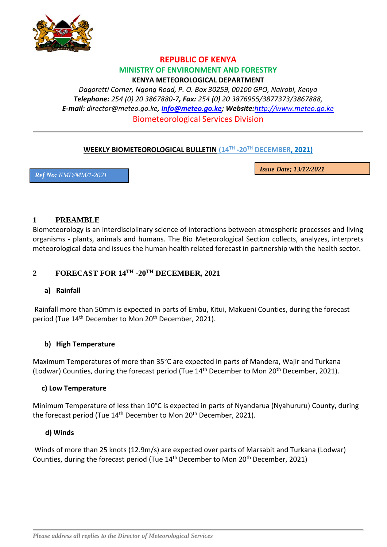

## **REPUBLIC OF KENYA MINISTRY OF ENVIRONMENT AND FORESTRY KENYA METEOROLOGICAL DEPARTMENT**

*Dagoretti Corner, Ngong Road, P. O. Box 30259, 00100 GPO, Nairobi, Kenya Telephone: 254 (0) 20 3867880-7, Fax: 254 (0) 20 3876955/3877373/3867888, E-mail: [director@meteo.go.ke](mailto:director@meteo.go.ke), [info@meteo.go.ke;](mailto:info@meteo.go.ke) Website:[http://www.meteo.go.ke](http://www.meteo.go.ke/)* Biometeorological Services Division

# **WEEKLY BIOMETEOROLOGICAL BULLETIN (14TH -20TH DECEMBER, 2021)**

*Ref No: KMD/MM/1-2021*

*Issue Date; 13/12/2021*

## **1 PREAMBLE**

Biometeorology is an interdisciplinary science of interactions between atmospheric processes and living organisms - plants, animals and humans. The Bio Meteorological Section collects, analyzes, interprets meteorological data and issues the human health related forecast in partnership with the health sector.

# **2 FORECAST FOR 14TH -20TH DECEMBER, 2021**

## **a) Rainfall**

Rainfall more than 50mm is expected in parts of Embu, Kitui, Makueni Counties, during the forecast period (Tue 14<sup>th</sup> December to Mon 20<sup>th</sup> December, 2021).

## **b) High Temperature**

Maximum Temperatures of more than 35°C are expected in parts of Mandera, Wajir and Turkana (Lodwar) Counties, during the forecast period (Tue  $14<sup>th</sup>$  December to Mon  $20<sup>th</sup>$  December, 2021).

### **c) Low Temperature**

Minimum Temperature of less than 10°C is expected in parts of Nyandarua (Nyahururu) County, during the forecast period (Tue 14<sup>th</sup> December to Mon 20<sup>th</sup> December, 2021).

### **d) Winds**

Winds of more than 25 knots (12.9m/s) are expected over parts of Marsabit and Turkana (Lodwar) Counties, during the forecast period (Tue 14<sup>th</sup> December to Mon 20<sup>th</sup> December, 2021)